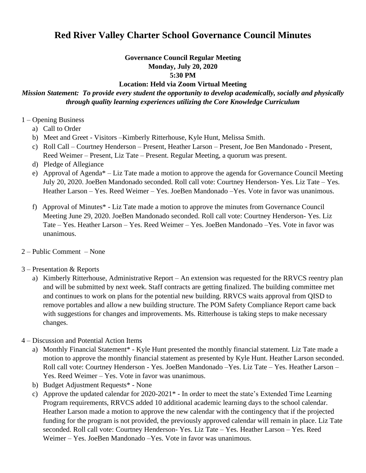## **Red River Valley Charter School Governance Council Minutes**

## **Governance Council Regular Meeting Monday, July 20, 2020 5:30 PM**

## **Location: Held via Zoom Virtual Meeting**

## *Mission Statement: To provide every student the opportunity to develop academically, socially and physically through quality learning experiences utilizing the Core Knowledge Curriculum*

- 1 Opening Business
	- a) Call to Order
	- b) Meet and Greet Visitors –Kimberly Ritterhouse, Kyle Hunt, Melissa Smith.
	- c) Roll Call Courtney Henderson Present, Heather Larson Present, Joe Ben Mandonado Present, Reed Weimer – Present, Liz Tate – Present. Regular Meeting, a quorum was present.
	- d) Pledge of Allegiance
	- e) Approval of Agenda\* Liz Tate made a motion to approve the agenda for Governance Council Meeting July 20, 2020. JoeBen Mandonado seconded. Roll call vote: Courtney Henderson- Yes. Liz Tate – Yes. Heather Larson – Yes. Reed Weimer – Yes. JoeBen Mandonado –Yes. Vote in favor was unanimous.
	- f) Approval of Minutes\* Liz Tate made a motion to approve the minutes from Governance Council Meeting June 29, 2020. JoeBen Mandonado seconded. Roll call vote: Courtney Henderson- Yes. Liz Tate – Yes. Heather Larson – Yes. Reed Weimer – Yes. JoeBen Mandonado –Yes. Vote in favor was unanimous.
- 2 Public Comment None
- 3 Presentation & Reports
	- a) Kimberly Ritterhouse, Administrative Report An extension was requested for the RRVCS reentry plan and will be submitted by next week. Staff contracts are getting finalized. The building committee met and continues to work on plans for the potential new building. RRVCS waits approval from QISD to remove portables and allow a new building structure. The POM Safety Compliance Report came back with suggestions for changes and improvements. Ms. Ritterhouse is taking steps to make necessary changes.
- 4 Discussion and Potential Action Items
	- a) Monthly Financial Statement\* Kyle Hunt presented the monthly financial statement. Liz Tate made a motion to approve the monthly financial statement as presented by Kyle Hunt. Heather Larson seconded. Roll call vote: Courtney Henderson - Yes. JoeBen Mandonado –Yes. Liz Tate – Yes. Heather Larson – Yes. Reed Weimer – Yes. Vote in favor was unanimous.
	- b) Budget Adjustment Requests\* None
	- c) Approve the updated calendar for 2020-2021\* In order to meet the state's Extended Time Learning Program requirements, RRVCS added 10 additional academic learning days to the school calendar. Heather Larson made a motion to approve the new calendar with the contingency that if the projected funding for the program is not provided, the previously approved calendar will remain in place. Liz Tate seconded. Roll call vote: Courtney Henderson- Yes. Liz Tate – Yes. Heather Larson – Yes. Reed Weimer – Yes. JoeBen Mandonado –Yes. Vote in favor was unanimous.